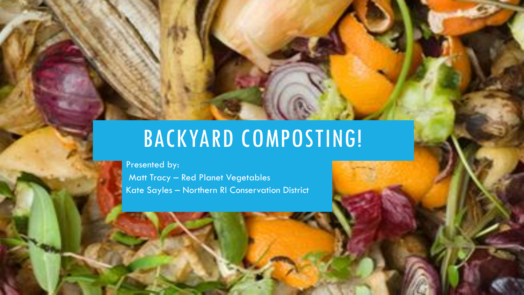### BACKYARD COMPOSTING!

Presented by:

Matt Tracy – Red Planet Vegetables Kate Sayles – Northern RI Conservation District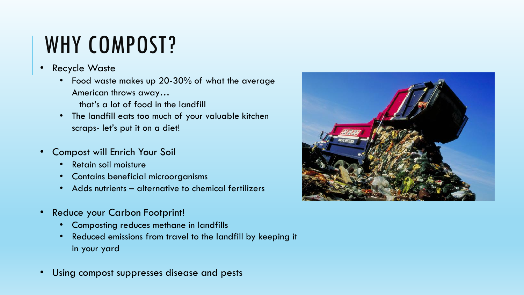### WHY COMPOST?

- **Recycle Waste** 
	- Food waste makes up 20-30% of what the average American throws away…
		- that's a lot of food in the landfill
	- The landfill eats too much of your valuable kitchen scraps- let's put it on a diet!
- Compost will Enrich Your Soil
	- Retain soil moisture
	- Contains beneficial microorganisms
	- Adds nutrients alternative to chemical fertilizers
- Reduce your Carbon Footprint!
	- Composting reduces methane in landfills
	- Reduced emissions from travel to the landfill by keeping it in your yard
- Using compost suppresses disease and pests

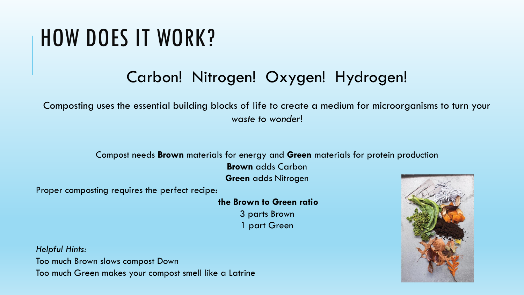### HOW DOES IT WORK?

### Carbon! Nitrogen! Oxygen! Hydrogen!

Composting uses the essential building blocks of life to create a medium for microorganisms to turn your *waste to wonder*!

#### Compost needs **Brown** materials for energy and **Green** materials for protein production

**Brown** adds Carbon

**Green** adds Nitrogen

Proper composting requires the perfect recipe:

**the Brown to Green ratio** 3 parts Brown 1 part Green

*Helpful Hints:* Too much Brown slows compost Down Too much Green makes your compost smell like a Latrine

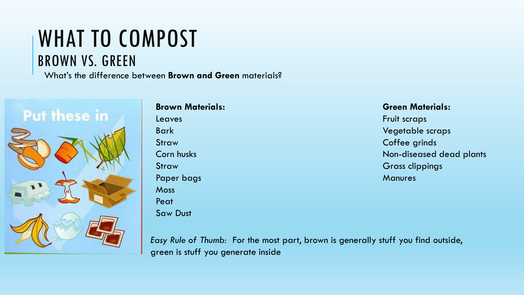### WHAT TO COMPOST BROWN VS. GREEN

What's the difference between **Brown and Green** materials?



#### **Brown Materials:**

Leaves Bark Straw Corn husks **Straw** Paper bags **Moss** Peat Saw Dust

#### **Green Materials:**

Fruit scraps Vegetable scraps Coffee grinds Non-diseased dead plants Grass clippings **Manures** 

*Easy Rule of Thumb:* For the most part, brown is generally stuff you find outside, green is stuff you generate inside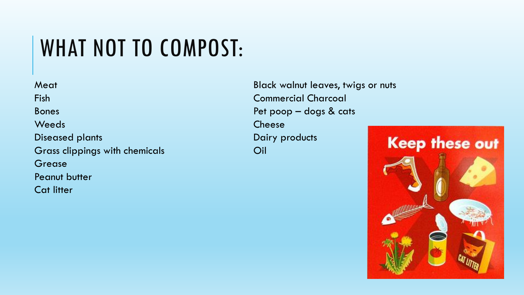## WHAT NOT TO COMPOST:

**Meat** Fish Bones **Weeds** Diseased plants Grass clippings with chemicals Grease Peanut butter Cat litter

Black walnut leaves, twigs or nuts Commercial Charcoal Pet poop – dogs & cats Cheese Dairy products Oil

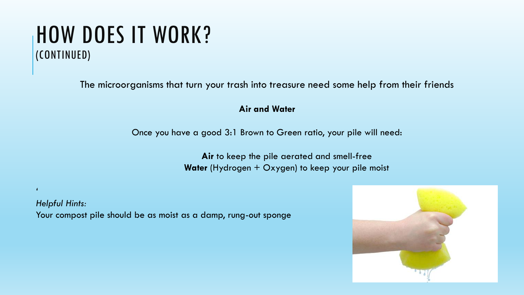### HOW DOES IT WORK? (CONTINUED)

*'*

The microorganisms that turn your trash into treasure need some help from their friends

#### **Air and Water**

Once you have a good 3:1 Brown to Green ratio, your pile will need:

**Air** to keep the pile aerated and smell-free **Water** (Hydrogen + Oxygen) to keep your pile moist

*Helpful Hints:* Your compost pile should be as moist as a damp, rung-out sponge

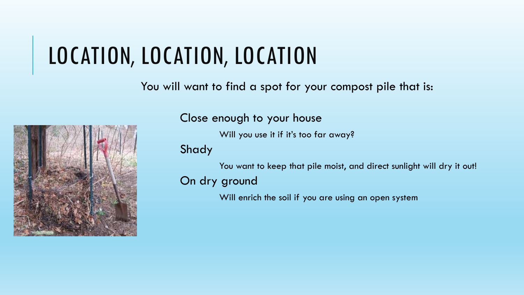## LOCATION, LOCATION, LOCATION

#### You will want to find a spot for your compost pile that is:



Close enough to your house

Will you use it if it's too far away?

Shady

You want to keep that pile moist, and direct sunlight will dry it out!

On dry ground

Will enrich the soil if you are using an open system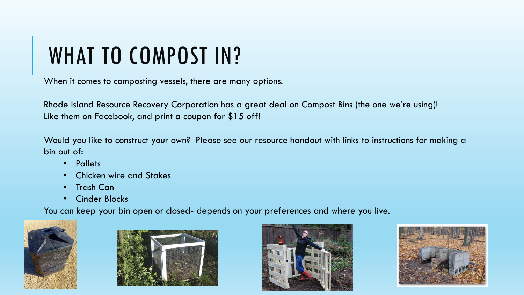## WHAT TO COMPOST IN?

When it comes to composting vessels, there are many options.

Rhode Island Resource Recovery Corporation has a great deal on Compost Bins (the one we're using)! Like them on Facebook, and print a coupon for \$15 off!

Would you like to construct your own? Please see our resource handout with links to instructions for making a bin out of:

- Pallets
- Chicken wire and Stakes
- Trash Can
- Cinder Blocks

You can keep your bin open or closed- depends on your preferences and where you live.







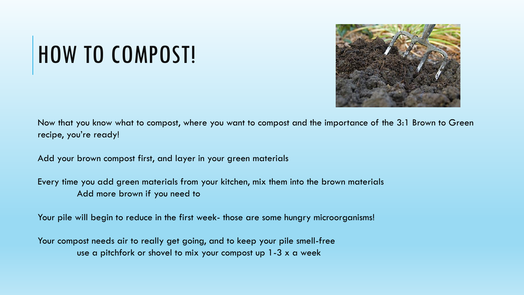# HOW TO COMPOST!



Now that you know what to compost, where you want to compost and the importance of the 3:1 Brown to Green recipe, you're ready!

Add your brown compost first, and layer in your green materials

Every time you add green materials from your kitchen, mix them into the brown materials Add more brown if you need to

Your pile will begin to reduce in the first week- those are some hungry microorganisms!

Your compost needs air to really get going, and to keep your pile smell-free use a pitchfork or shovel to mix your compost up 1-3 x a week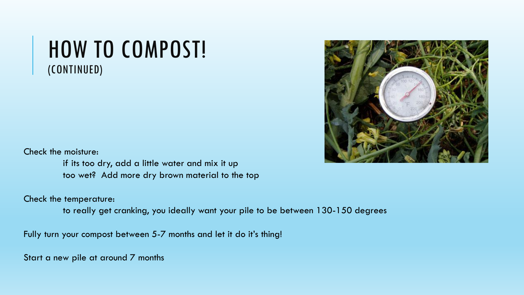### HOW TO COMPOST! (CONTINUED)



Check the moisture:

if its too dry, add a little water and mix it up too wet? Add more dry brown material to the top

Check the temperature:

to really get cranking, you ideally want your pile to be between 130-150 degrees

Fully turn your compost between 5-7 months and let it do it's thing!

Start a new pile at around 7 months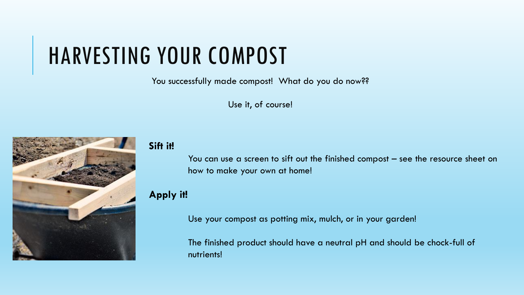### HARVESTING YOUR COMPOST

You successfully made compost! What do you do now??

Use it, of course!



#### **Sift it!**

You can use a screen to sift out the finished compost – see the resource sheet on how to make your own at home!

#### **Apply it!**

Use your compost as potting mix, mulch, or in your garden!

The finished product should have a neutral pH and should be chock-full of nutrients!